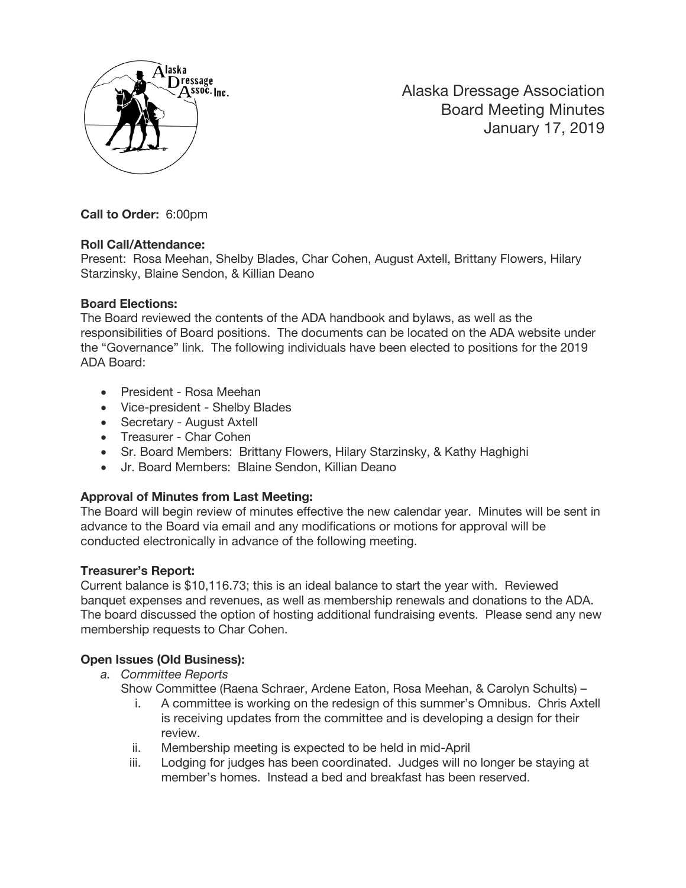

Alaska Dressage Association Board Meeting Minutes January 17, 2019

**Call to Order:** 6:00pm

# **Roll Call/Attendance:**

Present: Rosa Meehan, Shelby Blades, Char Cohen, August Axtell, Brittany Flowers, Hilary Starzinsky, Blaine Sendon, & Killian Deano

### **Board Elections:**

The Board reviewed the contents of the ADA handbook and bylaws, as well as the responsibilities of Board positions. The documents can be located on the ADA website under the "Governance" link. The following individuals have been elected to positions for the 2019 ADA Board:

- President Rosa Meehan
- Vice-president Shelby Blades
- Secretary August Axtell
- Treasurer Char Cohen
- Sr. Board Members: Brittany Flowers, Hilary Starzinsky, & Kathy Haghighi
- Jr. Board Members: Blaine Sendon, Killian Deano

# **Approval of Minutes from Last Meeting:**

The Board will begin review of minutes effective the new calendar year. Minutes will be sent in advance to the Board via email and any modifications or motions for approval will be conducted electronically in advance of the following meeting.

# **Treasurer's Report:**

Current balance is \$10,116.73; this is an ideal balance to start the year with. Reviewed banquet expenses and revenues, as well as membership renewals and donations to the ADA. The board discussed the option of hosting additional fundraising events. Please send any new membership requests to Char Cohen.

# **Open Issues (Old Business):**

*a. Committee Reports*

Show Committee (Raena Schraer, Ardene Eaton, Rosa Meehan, & Carolyn Schults) –

- i. A committee is working on the redesign of this summer's Omnibus. Chris Axtell is receiving updates from the committee and is developing a design for their review.
- ii. Membership meeting is expected to be held in mid-April
- iii. Lodging for judges has been coordinated. Judges will no longer be staying at member's homes. Instead a bed and breakfast has been reserved.